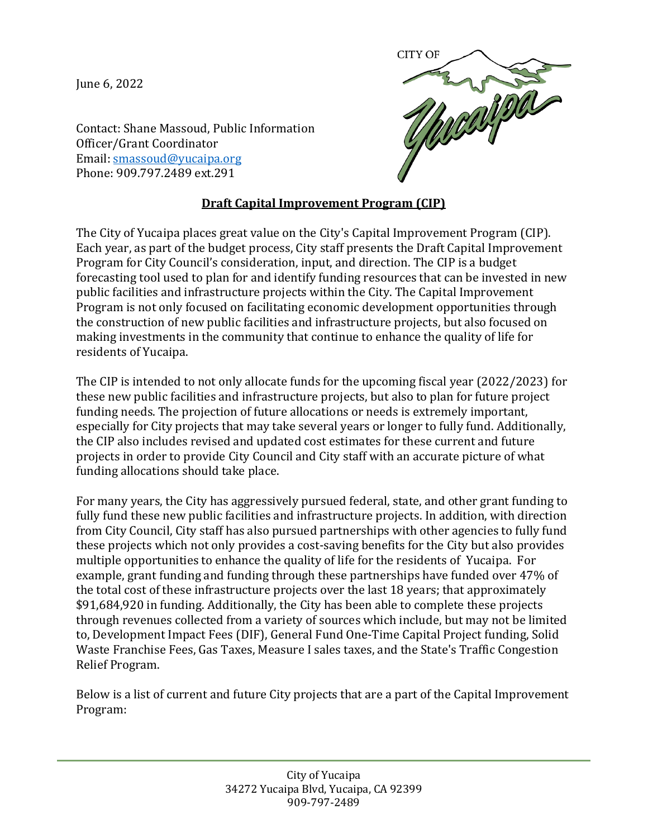June 6, 2022



Contact: Shane Massoud, Public Information Officer/Grant Coordinator Email: [smassoud@yucaipa.org](mailto:smassoud@yucaipa.org)  Phone: 909.797.2489 ext.291

## **Draft Capital Improvement Program (CIP)**

The City of Yucaipa places great value on the City's Capital Improvement Program (CIP). Each year, as part of the budget process, City staff presents the Draft Capital Improvement Program for City Council's consideration, input, and direction. The CIP is a budget forecasting tool used to plan for and identify funding resources that can be invested in new public facilities and infrastructure projects within the City. The Capital Improvement Program is not only focused on facilitating economic development opportunities through the construction of new public facilities and infrastructure projects, but also focused on making investments in the community that continue to enhance the quality of life for residents of Yucaipa.

The CIP is intended to not only allocate funds for the upcoming fiscal year (2022/2023) for these new public facilities and infrastructure projects, but also to plan for future project funding needs. The projection of future allocations or needs is extremely important, especially for City projects that may take several years or longer to fully fund. Additionally, the CIP also includes revised and updated cost estimates for these current and future projects in order to provide City Council and City staff with an accurate picture of what funding allocations should take place.

For many years, the City has aggressively pursued federal, state, and other grant funding to fully fund these new public facilities and infrastructure projects. In addition, with direction from City Council, City staff has also pursued partnerships with other agencies to fully fund these projects which not only provides a cost-saving benefits for the City but also provides multiple opportunities to enhance the quality of life for the residents of Yucaipa. For example, grant funding and funding through these partnerships have funded over 47% of the total cost of these infrastructure projects over the last 18 years; that approximately \$91,684,920 in funding. Additionally, the City has been able to complete these projects through revenues collected from a variety of sources which include, but may not be limited to, Development Impact Fees (DIF), General Fund One-Time Capital Project funding, Solid Waste Franchise Fees, Gas Taxes, Measure I sales taxes, and the State's Traffic Congestion Relief Program.

Below is a list of current and future City projects that are a part of the Capital Improvement Program: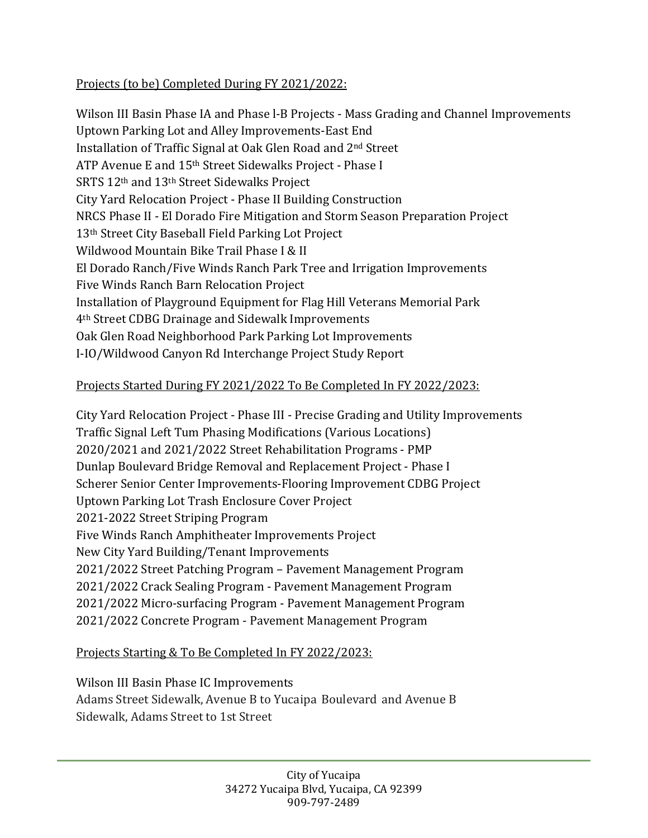## Projects (to be) Completed During FY 2021/2022:

Wilson III Basin Phase IA and Phase l-B Projects - Mass Grading and Channel Improvements Uptown Parking Lot and Alley Improvements-East End Installation of Traffic Signal at Oak Glen Road and 2nd Street ATP Avenue E and 15th Street Sidewalks Project - Phase I SRTS 12th and 13th Street Sidewalks Project City Yard Relocation Project - Phase II Building Construction NRCS Phase II - El Dorado Fire Mitigation and Storm Season Preparation Project 13th Street City Baseball Field Parking Lot Project Wildwood Mountain Bike Trail Phase I & II El Dorado Ranch/Five Winds Ranch Park Tree and Irrigation Improvements Five Winds Ranch Barn Relocation Project Installation of Playground Equipment for Flag Hill Veterans Memorial Park 4th Street CDBG Drainage and Sidewalk Improvements Oak Glen Road Neighborhood Park Parking Lot Improvements I-IO/Wildwood Canyon Rd Interchange Project Study Report

## Projects Started During FY 2021/2022 To Be Completed In FY 2022/2023:

City Yard Relocation Project - Phase III - Precise Grading and Utility Improvements Traffic Signal Left Tum Phasing Modifications (Various Locations) 2020/2021 and 2021/2022 Street Rehabilitation Programs - PMP Dunlap Boulevard Bridge Removal and Replacement Project - Phase I Scherer Senior Center Improvements-Flooring Improvement CDBG Project Uptown Parking Lot Trash Enclosure Cover Project 2021-2022 Street Striping Program Five Winds Ranch Amphitheater Improvements Project New City Yard Building/Tenant Improvements 2021/2022 Street Patching Program – Pavement Management Program 2021/2022 Crack Sealing Program - Pavement Management Program 2021/2022 Micro-surfacing Program - Pavement Management Program 2021/2022 Concrete Program - Pavement Management Program

## Projects Starting & To Be Completed In FY 2022/2023:

Wilson III Basin Phase IC Improvements Adams Street Sidewalk, Avenue B to Yucaipa Boulevard and Avenue B Sidewalk, Adams Street to 1st Street